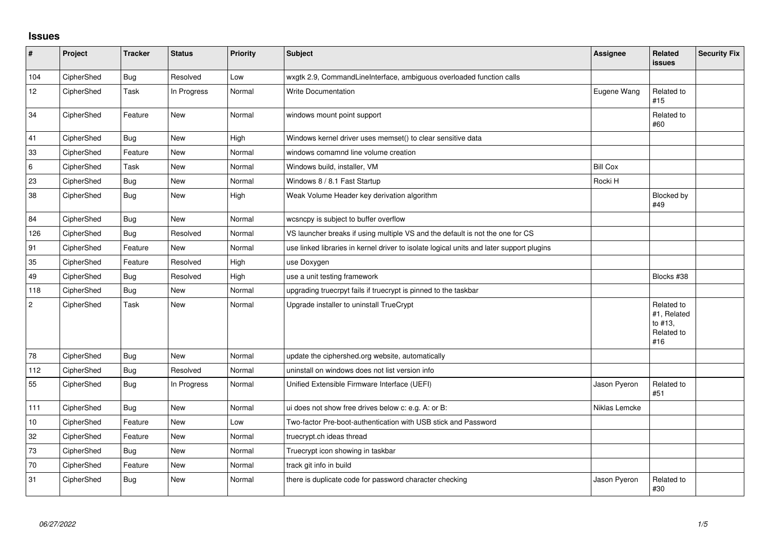## **Issues**

| #              | Project    | <b>Tracker</b> | <b>Status</b> | <b>Priority</b> | Subject                                                                                  | <b>Assignee</b> | Related<br>issues                                         | <b>Security Fix</b> |
|----------------|------------|----------------|---------------|-----------------|------------------------------------------------------------------------------------------|-----------------|-----------------------------------------------------------|---------------------|
| 104            | CipherShed | Bug            | Resolved      | Low             | wxgtk 2.9, CommandLineInterface, ambiguous overloaded function calls                     |                 |                                                           |                     |
| 12             | CipherShed | Task           | In Progress   | Normal          | <b>Write Documentation</b>                                                               | Eugene Wang     | Related to<br>#15                                         |                     |
| 34             | CipherShed | Feature        | New           | Normal          | windows mount point support                                                              |                 | Related to<br>#60                                         |                     |
| 41             | CipherShed | <b>Bug</b>     | <b>New</b>    | High            | Windows kernel driver uses memset() to clear sensitive data                              |                 |                                                           |                     |
| 33             | CipherShed | Feature        | <b>New</b>    | Normal          | windows comamnd line volume creation                                                     |                 |                                                           |                     |
| 6              | CipherShed | Task           | <b>New</b>    | Normal          | Windows build, installer, VM                                                             | <b>Bill Cox</b> |                                                           |                     |
| 23             | CipherShed | Bug            | New           | Normal          | Windows 8 / 8.1 Fast Startup                                                             | Rocki H         |                                                           |                     |
| 38             | CipherShed | Bug            | New           | High            | Weak Volume Header key derivation algorithm                                              |                 | Blocked by<br>#49                                         |                     |
| 84             | CipherShed | Bug            | <b>New</b>    | Normal          | wcsncpy is subject to buffer overflow                                                    |                 |                                                           |                     |
| 126            | CipherShed | <b>Bug</b>     | Resolved      | Normal          | VS launcher breaks if using multiple VS and the default is not the one for CS            |                 |                                                           |                     |
| 91             | CipherShed | Feature        | New           | Normal          | use linked libraries in kernel driver to isolate logical units and later support plugins |                 |                                                           |                     |
| 35             | CipherShed | Feature        | Resolved      | High            | use Doxygen                                                                              |                 |                                                           |                     |
| 49             | CipherShed | <b>Bug</b>     | Resolved      | High            | use a unit testing framework                                                             |                 | Blocks #38                                                |                     |
| 118            | CipherShed | <b>Bug</b>     | <b>New</b>    | Normal          | upgrading truecrpyt fails if truecrypt is pinned to the taskbar                          |                 |                                                           |                     |
| $\overline{2}$ | CipherShed | Task           | New           | Normal          | Upgrade installer to uninstall TrueCrypt                                                 |                 | Related to<br>#1, Related<br>to #13,<br>Related to<br>#16 |                     |
| 78             | CipherShed | <b>Bug</b>     | <b>New</b>    | Normal          | update the ciphershed.org website, automatically                                         |                 |                                                           |                     |
| 112            | CipherShed | <b>Bug</b>     | Resolved      | Normal          | uninstall on windows does not list version info                                          |                 |                                                           |                     |
| 55             | CipherShed | <b>Bug</b>     | In Progress   | Normal          | Unified Extensible Firmware Interface (UEFI)                                             | Jason Pyeron    | Related to<br>#51                                         |                     |
| 111            | CipherShed | Bug            | <b>New</b>    | Normal          | ui does not show free drives below c: e.g. A: or B:                                      | Niklas Lemcke   |                                                           |                     |
| 10             | CipherShed | Feature        | <b>New</b>    | Low             | Two-factor Pre-boot-authentication with USB stick and Password                           |                 |                                                           |                     |
| 32             | CipherShed | Feature        | <b>New</b>    | Normal          | truecrypt.ch ideas thread                                                                |                 |                                                           |                     |
| 73             | CipherShed | Bug            | <b>New</b>    | Normal          | Truecrypt icon showing in taskbar                                                        |                 |                                                           |                     |
| 70             | CipherShed | Feature        | <b>New</b>    | Normal          | track git info in build                                                                  |                 |                                                           |                     |
| 31             | CipherShed | <b>Bug</b>     | <b>New</b>    | Normal          | there is duplicate code for password character checking                                  | Jason Pyeron    | Related to<br>#30                                         |                     |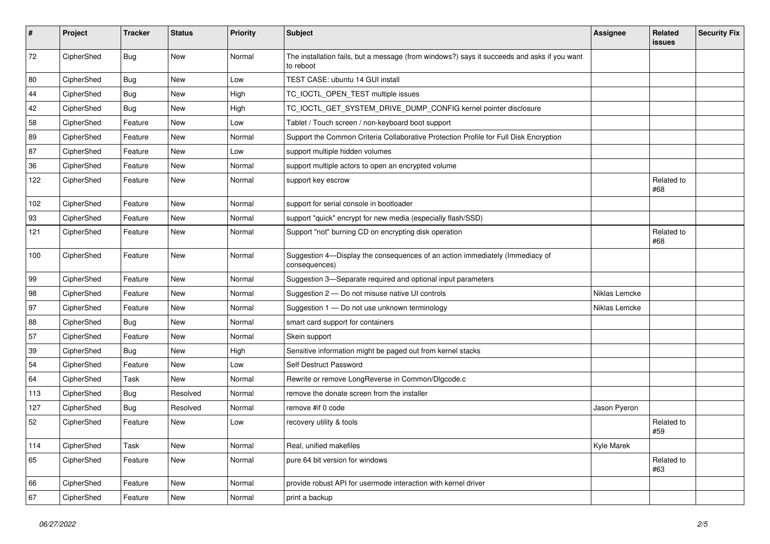| #   | Project    | <b>Tracker</b> | <b>Status</b> | <b>Priority</b> | Subject                                                                                                  | <b>Assignee</b> | Related<br>issues | <b>Security Fix</b> |
|-----|------------|----------------|---------------|-----------------|----------------------------------------------------------------------------------------------------------|-----------------|-------------------|---------------------|
| 72  | CipherShed | Bug            | <b>New</b>    | Normal          | The installation fails, but a message (from windows?) says it succeeds and asks if you want<br>to reboot |                 |                   |                     |
| 80  | CipherShed | <b>Bug</b>     | <b>New</b>    | Low             | TEST CASE: ubuntu 14 GUI install                                                                         |                 |                   |                     |
| 44  | CipherShed | Bug            | <b>New</b>    | High            | TC_IOCTL_OPEN_TEST multiple issues                                                                       |                 |                   |                     |
| 42  | CipherShed | <b>Bug</b>     | New           | High            | TC_IOCTL_GET_SYSTEM_DRIVE_DUMP_CONFIG kernel pointer disclosure                                          |                 |                   |                     |
| 58  | CipherShed | Feature        | <b>New</b>    | Low             | Tablet / Touch screen / non-keyboard boot support                                                        |                 |                   |                     |
| 89  | CipherShed | Feature        | New           | Normal          | Support the Common Criteria Collaborative Protection Profile for Full Disk Encryption                    |                 |                   |                     |
| 87  | CipherShed | Feature        | New           | Low             | support multiple hidden volumes                                                                          |                 |                   |                     |
| 36  | CipherShed | Feature        | <b>New</b>    | Normal          | support multiple actors to open an encrypted volume                                                      |                 |                   |                     |
| 122 | CipherShed | Feature        | New           | Normal          | support key escrow                                                                                       |                 | Related to<br>#68 |                     |
| 102 | CipherShed | Feature        | New           | Normal          | support for serial console in bootloader                                                                 |                 |                   |                     |
| 93  | CipherShed | Feature        | New           | Normal          | support "quick" encrypt for new media (especially flash/SSD)                                             |                 |                   |                     |
| 121 | CipherShed | Feature        | New           | Normal          | Support "not" burning CD on encrypting disk operation                                                    |                 | Related to<br>#68 |                     |
| 100 | CipherShed | Feature        | New           | Normal          | Suggestion 4-Display the consequences of an action immediately (Immediacy of<br>consequences)            |                 |                   |                     |
| 99  | CipherShed | Feature        | New           | Normal          | Suggestion 3-Separate required and optional input parameters                                             |                 |                   |                     |
| 98  | CipherShed | Feature        | New           | Normal          | Suggestion 2 - Do not misuse native UI controls                                                          | Niklas Lemcke   |                   |                     |
| 97  | CipherShed | Feature        | New           | Normal          | Suggestion 1 - Do not use unknown terminology                                                            | Niklas Lemcke   |                   |                     |
| 88  | CipherShed | <b>Bug</b>     | New           | Normal          | smart card support for containers                                                                        |                 |                   |                     |
| 57  | CipherShed | Feature        | <b>New</b>    | Normal          | Skein support                                                                                            |                 |                   |                     |
| 39  | CipherShed | <b>Bug</b>     | New           | High            | Sensitive information might be paged out from kernel stacks                                              |                 |                   |                     |
| 54  | CipherShed | Feature        | New           | Low             | Self Destruct Password                                                                                   |                 |                   |                     |
| 64  | CipherShed | Task           | <b>New</b>    | Normal          | Rewrite or remove LongReverse in Common/Dlgcode.c                                                        |                 |                   |                     |
| 113 | CipherShed | Bug            | Resolved      | Normal          | remove the donate screen from the installer                                                              |                 |                   |                     |
| 127 | CipherShed | Bug            | Resolved      | Normal          | remove #if 0 code                                                                                        | Jason Pyeron    |                   |                     |
| 52  | CipherShed | Feature        | New           | Low             | recovery utility & tools                                                                                 |                 | Related to<br>#59 |                     |
| 114 | CipherShed | Task           | New           | Normal          | Real, unified makefiles                                                                                  | Kyle Marek      |                   |                     |
| 65  | CipherShed | Feature        | New           | Normal          | pure 64 bit version for windows                                                                          |                 | Related to<br>#63 |                     |
| 66  | CipherShed | Feature        | New           | Normal          | provide robust API for usermode interaction with kernel driver                                           |                 |                   |                     |
| 67  | CipherShed | Feature        | New           | Normal          | print a backup                                                                                           |                 |                   |                     |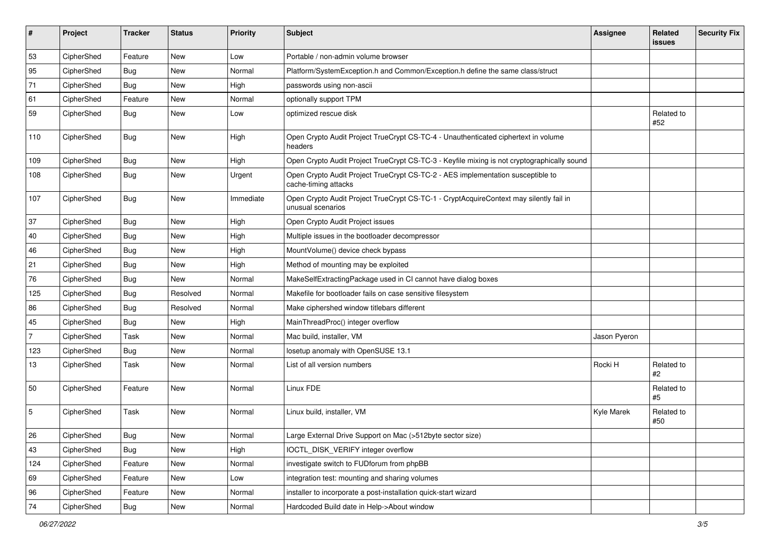| #              | Project    | <b>Tracker</b> | <b>Status</b> | <b>Priority</b> | Subject                                                                                                     | Assignee     | Related<br>issues | <b>Security Fix</b> |
|----------------|------------|----------------|---------------|-----------------|-------------------------------------------------------------------------------------------------------------|--------------|-------------------|---------------------|
| 53             | CipherShed | Feature        | <b>New</b>    | Low             | Portable / non-admin volume browser                                                                         |              |                   |                     |
| 95             | CipherShed | <b>Bug</b>     | New           | Normal          | Platform/SystemException.h and Common/Exception.h define the same class/struct                              |              |                   |                     |
| 71             | CipherShed | <b>Bug</b>     | New           | High            | passwords using non-ascii                                                                                   |              |                   |                     |
| 61             | CipherShed | Feature        | New           | Normal          | optionally support TPM                                                                                      |              |                   |                     |
| 59             | CipherShed | Bug            | New           | Low             | optimized rescue disk                                                                                       |              | Related to<br>#52 |                     |
| 110            | CipherShed | <b>Bug</b>     | <b>New</b>    | High            | Open Crypto Audit Project TrueCrypt CS-TC-4 - Unauthenticated ciphertext in volume<br>headers               |              |                   |                     |
| 109            | CipherShed | Bug            | New           | High            | Open Crypto Audit Project TrueCrypt CS-TC-3 - Keyfile mixing is not cryptographically sound                 |              |                   |                     |
| 108            | CipherShed | Bug            | New           | Urgent          | Open Crypto Audit Project TrueCrypt CS-TC-2 - AES implementation susceptible to<br>cache-timing attacks     |              |                   |                     |
| 107            | CipherShed | <b>Bug</b>     | New           | Immediate       | Open Crypto Audit Project TrueCrypt CS-TC-1 - CryptAcquireContext may silently fail in<br>unusual scenarios |              |                   |                     |
| 37             | CipherShed | Bug            | New           | High            | Open Crypto Audit Project issues                                                                            |              |                   |                     |
| 40             | CipherShed | <b>Bug</b>     | New           | High            | Multiple issues in the bootloader decompressor                                                              |              |                   |                     |
| 46             | CipherShed | Bug            | New           | High            | MountVolume() device check bypass                                                                           |              |                   |                     |
| 21             | CipherShed | <b>Bug</b>     | New           | High            | Method of mounting may be exploited                                                                         |              |                   |                     |
| 76             | CipherShed | <b>Bug</b>     | New           | Normal          | MakeSelfExtractingPackage used in CI cannot have dialog boxes                                               |              |                   |                     |
| 125            | CipherShed | Bug            | Resolved      | Normal          | Makefile for bootloader fails on case sensitive filesystem                                                  |              |                   |                     |
| 86             | CipherShed | <b>Bug</b>     | Resolved      | Normal          | Make ciphershed window titlebars different                                                                  |              |                   |                     |
| 45             | CipherShed | <b>Bug</b>     | New           | High            | MainThreadProc() integer overflow                                                                           |              |                   |                     |
| $\overline{7}$ | CipherShed | <b>Task</b>    | New           | Normal          | Mac build, installer, VM                                                                                    | Jason Pyeron |                   |                     |
| 123            | CipherShed | <b>Bug</b>     | New           | Normal          | losetup anomaly with OpenSUSE 13.1                                                                          |              |                   |                     |
| 13             | CipherShed | Task           | New           | Normal          | List of all version numbers                                                                                 | Rocki H      | Related to<br>#2  |                     |
| 50             | CipherShed | Feature        | New           | Normal          | Linux FDE                                                                                                   |              | Related to<br>#5  |                     |
| 5              | CipherShed | <b>Task</b>    | New           | Normal          | Linux build, installer, VM                                                                                  | Kyle Marek   | Related to<br>#50 |                     |
| 26             | CipherShed | <b>Bug</b>     | New           | Normal          | Large External Drive Support on Mac (>512byte sector size)                                                  |              |                   |                     |
| 43             | CipherShed | Bug            | New           | High            | IOCTL_DISK_VERIFY integer overflow                                                                          |              |                   |                     |
| 124            | CipherShed | Feature        | New           | Normal          | investigate switch to FUDforum from phpBB                                                                   |              |                   |                     |
| 69             | CipherShed | Feature        | New           | Low             | integration test: mounting and sharing volumes                                                              |              |                   |                     |
| 96             | CipherShed | Feature        | New           | Normal          | installer to incorporate a post-installation quick-start wizard                                             |              |                   |                     |
| 74             | CipherShed | Bug            | New           | Normal          | Hardcoded Build date in Help->About window                                                                  |              |                   |                     |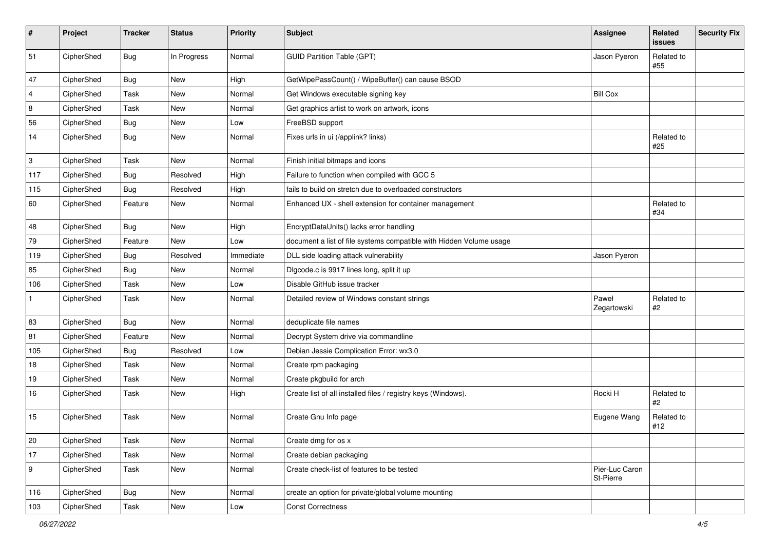| #              | Project    | <b>Tracker</b> | <b>Status</b> | Priority  | Subject                                                             | Assignee                    | Related<br><b>issues</b> | <b>Security Fix</b> |
|----------------|------------|----------------|---------------|-----------|---------------------------------------------------------------------|-----------------------------|--------------------------|---------------------|
| 51             | CipherShed | Bug            | In Progress   | Normal    | <b>GUID Partition Table (GPT)</b>                                   | Jason Pyeron                | Related to<br>#55        |                     |
| 47             | CipherShed | <b>Bug</b>     | New           | High      | GetWipePassCount() / WipeBuffer() can cause BSOD                    |                             |                          |                     |
| $\overline{4}$ | CipherShed | Task           | New           | Normal    | Get Windows executable signing key                                  | <b>Bill Cox</b>             |                          |                     |
| 8              | CipherShed | Task           | New           | Normal    | Get graphics artist to work on artwork, icons                       |                             |                          |                     |
| 56             | CipherShed | Bug            | New           | Low       | FreeBSD support                                                     |                             |                          |                     |
| 14             | CipherShed | <b>Bug</b>     | New           | Normal    | Fixes urls in ui (/applink? links)                                  |                             | Related to<br>#25        |                     |
| 3              | CipherShed | Task           | New           | Normal    | Finish initial bitmaps and icons                                    |                             |                          |                     |
| 117            | CipherShed | <b>Bug</b>     | Resolved      | High      | Failure to function when compiled with GCC 5                        |                             |                          |                     |
| 115            | CipherShed | Bug            | Resolved      | High      | fails to build on stretch due to overloaded constructors            |                             |                          |                     |
| 60             | CipherShed | Feature        | <b>New</b>    | Normal    | Enhanced UX - shell extension for container management              |                             | Related to<br>#34        |                     |
| 48             | CipherShed | Bug            | New           | High      | EncryptDataUnits() lacks error handling                             |                             |                          |                     |
| 79             | CipherShed | Feature        | <b>New</b>    | Low       | document a list of file systems compatible with Hidden Volume usage |                             |                          |                     |
| 119            | CipherShed | <b>Bug</b>     | Resolved      | Immediate | DLL side loading attack vulnerability                               | Jason Pyeron                |                          |                     |
| 85             | CipherShed | Bug            | New           | Normal    | Digcode.c is 9917 lines long, split it up                           |                             |                          |                     |
| 106            | CipherShed | Task           | <b>New</b>    | Low       | Disable GitHub issue tracker                                        |                             |                          |                     |
| $\mathbf{1}$   | CipherShed | Task           | New           | Normal    | Detailed review of Windows constant strings                         | Paweł<br>Zegartowski        | Related to<br>#2         |                     |
| 83             | CipherShed | Bug            | New           | Normal    | deduplicate file names                                              |                             |                          |                     |
| 81             | CipherShed | Feature        | <b>New</b>    | Normal    | Decrypt System drive via commandline                                |                             |                          |                     |
| 105            | CipherShed | <b>Bug</b>     | Resolved      | Low       | Debian Jessie Complication Error: wx3.0                             |                             |                          |                     |
| 18             | CipherShed | Task           | New           | Normal    | Create rpm packaging                                                |                             |                          |                     |
| 19             | CipherShed | Task           | <b>New</b>    | Normal    | Create pkgbuild for arch                                            |                             |                          |                     |
| 16             | CipherShed | Task           | New           | High      | Create list of all installed files / registry keys (Windows).       | Rocki H                     | Related to<br>#2         |                     |
| 15             | CipherShed | Task           | <b>New</b>    | Normal    | Create Gnu Info page                                                | Eugene Wang                 | Related to<br>#12        |                     |
| 20             | CipherShed | Task           | New           | Normal    | Create dmg for os x                                                 |                             |                          |                     |
| 17             | CipherShed | Task           | New           | Normal    | Create debian packaging                                             |                             |                          |                     |
| 9              | CipherShed | Task           | New           | Normal    | Create check-list of features to be tested                          | Pier-Luc Caron<br>St-Pierre |                          |                     |
| 116            | CipherShed | Bug            | New           | Normal    | create an option for private/global volume mounting                 |                             |                          |                     |
| 103            | CipherShed | Task           | New           | Low       | <b>Const Correctness</b>                                            |                             |                          |                     |